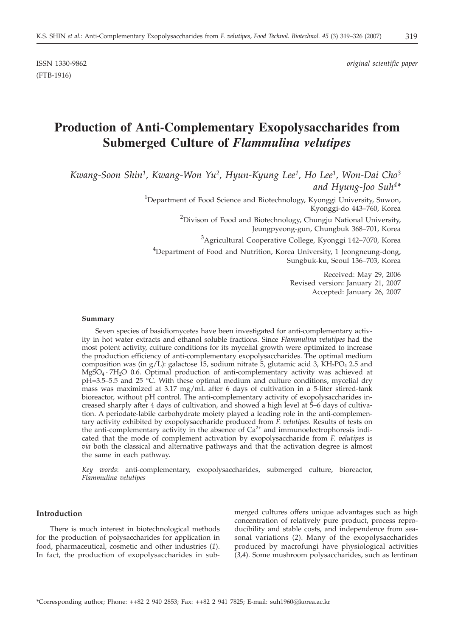ISSN 1330-9862 *original scientific paper*

# **Production of Anti-Complementary Exopolysaccharides from Submerged Culture of** *Flammulina velutipes*

*Kwang-Soon Shin1, Kwang-Won Yu2, Hyun-Kyung Lee1, Ho Lee1, Won-Dai Cho3 and Hyung-Joo Suh4\**

> <sup>1</sup>Department of Food Science and Biotechnology, Kyonggi University, Suwon, Kyonggi-do 443–760, Korea

> > <sup>2</sup>Divison of Food and Biotechnology, Chungju National University, Jeungpyeong-gun, Chungbuk 368–701, Korea

> > > <sup>3</sup>Agricultural Cooperative College, Kyonggi 142–7070, Korea

<sup>4</sup>Department of Food and Nutrition, Korea University, 1 Jeongneung-dong, Sungbuk-ku, Seoul 136–703, Korea

> Received: May 29, 2006 Revised version: January 21, 2007 Accepted: January 26, 2007

#### **Summary**

(FTB-1916)

Seven species of basidiomycetes have been investigated for anti-complementary activity in hot water extracts and ethanol soluble fractions. Since *Flammulina velutipes* had the most potent activity, culture conditions for its mycelial growth were optimized to increase the production efficiency of anti-complementary exopolysaccharides. The optimal medium composition was (in  $g/L$ ): galactose 15, sodium nitrate 5, glutamic acid 3, KH<sub>2</sub>PO<sub>4</sub> 2.5 and  $MgSO_4 \cdot 7H_2O$  0.6. Optimal production of anti-complementary activity was achieved at pH=3.5–5.5 and 25 °C. With these optimal medium and culture conditions, mycelial dry mass was maximized at 3.17 mg/mL after 6 days of cultivation in a 5-liter stirred-tank bioreactor, without pH control. The anti-complementary activity of exopolysaccharides increased sharply after 4 days of cultivation, and showed a high level at 5–6 days of cultivation. A periodate-labile carbohydrate moiety played a leading role in the anti-complementary activity exhibited by exopolysaccharide produced from *F*. *velutipes*. Results of tests on the anti-complementary activity in the absence of  $Ca^{2+}$  and immunoelectrophoresis indicated that the mode of complement activation by exopolysaccharide from *F*. *velutipes* is *via* both the classical and alternative pathways and that the activation degree is almost the same in each pathway.

*Key words*: anti-complementary, exopolysaccharides, submerged culture, bioreactor, *Flammulina velutipes*

## **Introduction**

There is much interest in biotechnological methods for the production of polysaccharides for application in food, pharmaceutical, cosmetic and other industries (*1*). In fact, the production of exopolysaccharides in submerged cultures offers unique advantages such as high concentration of relatively pure product, process reproducibility and stable costs, and independence from seasonal variations (*2*). Many of the exopolysaccharides produced by macrofungi have physiological activities (*3,4*). Some mushroom polysaccharides, such as lentinan

<sup>\*</sup>Corresponding author; Phone: ++82 2 940 2853; Fax: ++82 2 941 7825; E-mail: suh1960*@*korea.ac.kr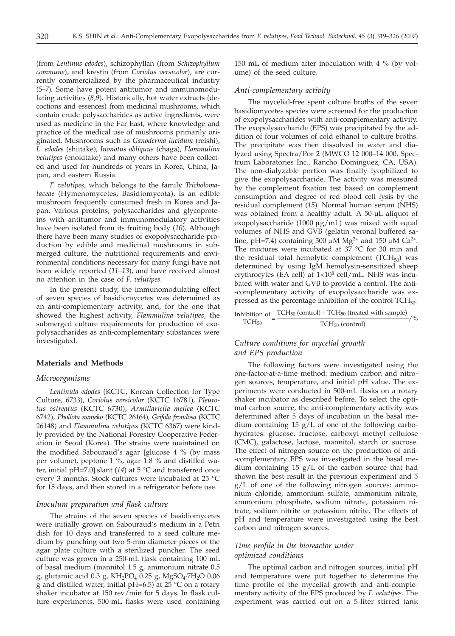(from *Lentinus edodes*), schizophyllan (from *Schizophyllum commune*), and krestin (from *Coriolus versicolor*), are currently commercialized by the pharmaceutical industry (*5–7*). Some have potent antitumor and immunomodulating activities (*8,9*). Historically, hot water extracts (decoctions and essences) from medicinal mushrooms, which contain crude polysaccharides as active ingredients, were used as medicine in the Far East, where knowledge and practice of the medical use of mushrooms primarily originated. Mushrooms such as *Ganoderma lucidum* (reishi), *L. edodes* (shiitake), *Inonotus obliquus* (chaga), *Flammulina velutipes* (enokitake) and many others have been collected and used for hundreds of years in Korea, China, Japan, and eastern Russia.

*F. velutipes*, which belongs to the family *Tricholomataceae* (Hymenomycetes, Basidiomycota), is an edible mushroom frequently consumed fresh in Korea and Japan. Various proteins, polysaccharides and glycoproteins with antitumor and immunomodulatory activities have been isolated from its fruiting body (*10*). Although there have been many studies of exopolysaccharide production by edible and medicinal mushrooms in submerged culture, the nutritional requirements and environmental conditions necessary for many fungi have not been widely reported (*11–13*), and have received almost no attention in the case of *F. velutipes*.

In the present study, the immunomodulating effect of seven species of basidiomycetes was determined as an anti-complementary activity, and, for the one that showed the highest activity, *Flammulina velutipes*, the submerged culture requirements for production of exopolysaccharides as anti-complementary substances were investigated.

## **Materials and Methods**

#### *Microorganisms*

*Lentinula edodes* (KCTC, Korean Collection for Type Culture, 6733)*, Coriolus versicolor* (KCTC 16781)*, Pleurotus ostreatus* (KCTC 6730)*, Armillariella mellea* (KCTC 6742)*, Pholiota nameko* (KCTC 26164)*, Grifola frondosa* (KCTC 26148) and *Flammulina velutipes* (KCTC 6367) were kindly provided by the National Forestry Cooperative Federation in Seoul (Korea). The strains were maintained on the modified Sabouraud's agar glucose 4 % (by mass per volume), peptone 1 %, agar 1.8 % and distilled water, initial pH=7.0] slant (14) at 5 °C and transferred once every 3 months. Stock cultures were incubated at 25 °C for 15 days, and then stored in a refrigerator before use.

## *Inoculum preparation and flask culture*

The strains of the seven species of basidiomycetes were initially grown on Sabouraud's medium in a Petri dish for 10 days and transferred to a seed culture medium by punching out two 5-mm diameter pieces of the agar plate culture with a sterilized puncher. The seed culture was grown in a 250-mL flask containing 100 mL of basal medium (mannitol 1.5 g, ammonium nitrate 0.5 g, glutamic acid 0.3 g,  $KH_2PO_4$  0.25 g, MgSO<sub>4</sub>.7H<sub>2</sub>O 0.06 g and distilled water, initial pH=6.5) at 25  $\degree$ C on a rotary shaker incubator at 150 rev/min for 5 days. In flask culture experiments, 500-mL flasks were used containing

150 mL of medium after inoculation with 4 % (by volume) of the seed culture.

#### *Anti-complementary activity*

The mycelial-free spent culture broths of the seven basidiomycetes species were screened for the production of exopolysaccharides with anti-complementary activity. The exopolysaccharide (EPS) was precipitated by the addition of four volumes of cold ethanol to culture broths. The precipitate was then dissolved in water and dialyzed using Spectra/Por 2 (MWCO 12 000–14 000, Spectrum Laboratories Inc., Rancho Dominguez, CA, USA). The non-dialyzable portion was finally lyophilized to give the exopolysaccharide. The activity was measured by the complement fixation test based on complement consumption and degree of red blood cell lysis by the residual complement (*15*). Normal human serum (NHS) was obtained from a healthy adult. A 50-µL aliquot of exopolysaccharide (1000  $\mu$ g/mL) was mixed with equal volumes of NHS and GVB (gelatin veronal buffered saline, pH=7.4) containing 500  $\mu$ M Mg<sup>2+</sup> and 150  $\mu$ M Ca<sup>2+</sup>. The mixtures were incubated at  $37 \degree C$  for 30 min and the residual total hemolytic complement (TCH $_{50}$ ) was determined by using IgM hemolysin-sensitized sheep erythrocytes (EA cell) at  $1\times10^8$  cell/mL. NHS was incubated with water and GVB to provide a control. The anti- -complementary activity of exopolysaccharide was expressed as the percentage inhibition of the control  $TCH_{50}$ :

Inhibition of  $\frac{TCH_{50} (\text{control}) - TCH_{50} (\text{treated with sample})}{TCH_{50} (\text{control})}$ /% TCH50 (control)

# *Culture conditions for mycelial growth and EPS production*

The following factors were investigated using the one-factor-at-a-time method: medium carbon and nitrogen sources, temperature, and initial pH value. The experiments were conducted in 500-mL flasks on a rotary shaker incubator as described before. To select the optimal carbon source, the anti-complementary activity was determined after 5 days of incubation in the basal medium containing  $15 \text{ g/L}$  of one of the following carbohydrates: glucose, fructose, carboxyl methyl cellulose (CMC), galactose, lactose, mannitol, starch or sucrose. The effect of nitrogen source on the production of anti- -complementary EPS was investigated in the basal medium containing  $15 g/L$  of the carbon source that had shown the best result in the previous experiment and 5  $g/L$  of one of the following nitrogen sources: ammonium chloride, ammonium sulfate, ammonium nitrate, ammonium phosphate, sodium nitrate, potassium nitrate, sodium nitrite or potassium nitrite. The effects of pH and temperature were investigated using the best carbon and nitrogen sources.

## *Time profile in the bioreactor under optimized conditions*

The optimal carbon and nitrogen sources, initial pH and temperature were put together to determine the time profile of the mycelial growth and anti-complementary activity of the EPS produced by *F. velutipes*. The experiment was carried out on a 5-liter stirred tank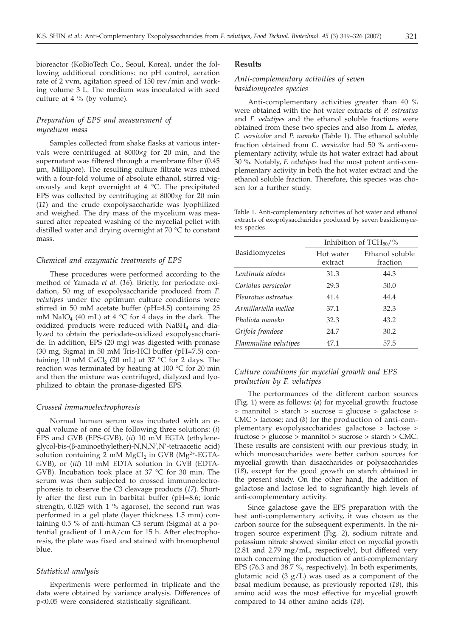bioreactor (KoBioTech Co., Seoul, Korea), under the following additional conditions: no pH control, aeration rate of 2 vvm, agitation speed of 150 rev/min and working volume 3 L. The medium was inoculated with seed culture at 4 % (by volume).

# *Preparation of EPS and measurement of mycelium mass*

Samples collected from shake flasks at various intervals were centrifuged at 8000×*g* for 20 min, and the supernatant was filtered through a membrane filter (0.45 µm, Millipore). The resulting culture filtrate was mixed with a four-fold volume of absolute ethanol, stirred vigorously and kept overnight at 4 °C. The precipitated EPS was collected by centrifuging at 8000×*g* for 20 min (*11*) and the crude exopolysaccharide was lyophilized and weighed. The dry mass of the mycelium was measured after repeated washing of the mycelial pellet with distilled water and drying overnight at 70 °C to constant mass.

#### *Chemical and enzymatic treatments of EPS*

These procedures were performed according to the method of Yamada *et al.* (*16*). Briefly, for periodate oxidation, 50 mg of exopolysaccharide produced from *F*. *velutipes* under the optimum culture conditions were stirred in 50 mM acetate buffer (pH=4.5) containing 25 mM NaIO<sub>4</sub> (40 mL) at 4  $\degree$ C for 4 days in the dark. The oxidized products were reduced with NaBH<sub>4</sub> and dialyzed to obtain the periodate-oxidized exopolysaccharide. In addition, EPS (20 mg) was digested with pronase (30 mg, Sigma) in 50 mM Tris-HCl buffer (pH=7.5) containing 10 mM CaCl<sub>2</sub> (20 mL) at 37  $\degree$ C for 2 days. The reaction was terminated by heating at 100 °C for 20 min and then the mixture was centrifuged, dialyzed and lyophilized to obtain the pronase-digested EPS.

#### *Crossed immunoelectrophoresis*

Normal human serum was incubated with an equal volume of one of the following three solutions: (*i*) EPS and GVB (EPS-GVB), (*ii*) 10 mM EGTA (ethyleneglycol-bis-(â-aminoethylether)-N,N,N',N'-tetraacetic acid) solution containing 2 mM MgCl<sub>2</sub> in GVB (Mg<sup>2+</sup>-EGTA-GVB), or (*iii*) 10 mM EDTA solution in GVB (EDTA-GVB). Incubation took place at 37 °C for 30 min. The serum was then subjected to crossed immunoelectrophoresis to observe the C3 cleavage products (*17*). Shortly after the first run in barbital buffer (pH=8.6; ionic strength, 0.025 with 1 % agarose), the second run was performed in a gel plate (layer thickness 1.5 mm) containing 0.5 % of anti-human C3 serum (Sigma) at a potential gradient of 1 mA/cm for 15 h. After electrophoresis, the plate was fixed and stained with bromophenol blue.

#### *Statistical analysis*

Experiments were performed in triplicate and the data were obtained by variance analysis. Differences of p<0.05 were considered statistically significant.

## **Results**

## *Anti-complementary activities of seven basidiomycetes species*

Anti-complementary activities greater than 40 % were obtained with the hot water extracts of *P. ostreatus* and *F. velutipes* and the ethanol soluble fractions were obtained from these two species and also from *L. edodes, C. versicolor* and *P. nameko* (Table 1). The ethanol soluble fraction obtained from *C. versicolor* had 50 % anti-complementary activity, while its hot water extract had about 30 %. Notably, *F. velutipes* had the most potent anti-complementary activity in both the hot water extract and the ethanol soluble fraction. Therefore, this species was chosen for a further study.

Table 1. Anti-complementary activities of hot water and ethanol extracts of exopolysaccharides produced by seven basidiomycetes species

| Basidiomycetes       | Inhibition of $TCH_{50}/\%$ |                             |
|----------------------|-----------------------------|-----------------------------|
|                      | Hot water<br>extract        | Ethanol soluble<br>fraction |
| Lentinula edodes     | 31.3                        | 44.3                        |
| Coriolus versicolor  | 29.3                        | 50.0                        |
| Pleurotus ostreatus  | 41.4                        | 44.4                        |
| Armillariella mellea | 37.1                        | 32.3                        |
| Pholiota nameko      | 32.3                        | 43.2                        |
| Grifola frondosa     | 24.7                        | 30.2                        |
| Flammulina velutipes | 47.1                        | 57.5                        |

## *Culture conditions for mycelial growth and EPS production by F. velutipes*

The performances of the different carbon sources (Fig. 1) were as follows: (*a*) for mycelial growth: fructose > mannitol > starch > sucrose = glucose > galactose > CMC > lactose; and (*b*) for the production of anti-complementary exopolysaccharides: galactose > lactose > fructose > glucose > mannitol > sucrose > starch > CMC. These results are consistent with our previous study, in which monosaccharides were better carbon sources for mycelial growth than disaccharides or polysaccharides (*18*), except for the good growth on starch obtained in the present study. On the other hand, the addition of galactose and lactose led to significantly high levels of anti-complementary activity.

Since galactose gave the EPS preparation with the best anti-complementary activity, it was chosen as the carbon source for the subsequent experiments. In the nitrogen source experiment (Fig. 2), sodium nitrate and potassium nitrate showed similar effect on mycelial growth (2.81 and 2.79 mg/mL, respectively), but differed very much concerning the production of anti-complementary EPS (76.3 and 38.7 %, respectively). In both experiments, glutamic acid  $(3 g/L)$  was used as a component of the basal medium because, as previously reported (*18*), this amino acid was the most effective for mycelial growth compared to 14 other amino acids (*18*).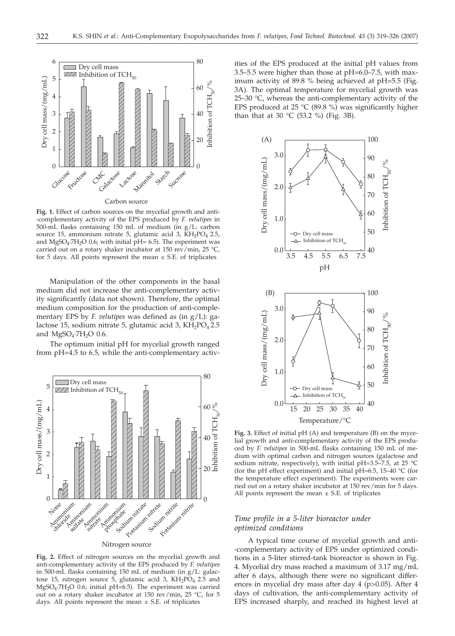

**Fig. 1.** Effect of carbon sources on the mycelial growth and anti- -complementary activity of the EPS produced by *F. velutipes* in 500-mL flasks containing 150 mL of medium (in g/L: carbon source 15, ammonium nitrate 5, glutamic acid 3, KH<sub>2</sub>PO<sub>4</sub> 2.5, and MgSO<sub>4</sub>·7H<sub>2</sub>O 0.6; with initial  $\bar{p}$ H= 6.5). The experiment was carried out on a rotary shaker incubator at 150 rev/min, 25 °C, for 5 days. All points represent the mean  $\pm$  S.E. of triplicates

Manipulation of the other components in the basal medium did not increase the anti-complementary activity significantly (data not shown). Therefore, the optimal medium composition for the production of anti-complementary EPS by *F. velutipes* was defined as (in g/L): galactose 15, sodium nitrate 5, glutamic acid 3,  $KH_2PO_4$ 2.5 and  $MgSO<sub>4</sub>·7H<sub>2</sub>O$  0.6.

The optimum initial pH for mycelial growth ranged from pH=4.5 to 6.5, while the anti-complementary activ-



**Fig. 2.** Effect of nitrogen sources on the mycelial growth and anti-complementary activity of the EPS produced by *F. velutipes* in 500-mL flasks containing 150 mL of medium (in g/L: galactose 15, nitrogen source 5, glutamic acid 3,  $KH_2P\O_4$  2.5 and MgSO<sub>4</sub>·7H<sub>2</sub>O 0.6; initial pH=6.5). The experiment was carried out on a rotary shaker incubator at 150 rev/min, 25 °C, for 5 days. All points represent the mean  $\pm$  S.E. of triplicates

ities of the EPS produced at the initial pH values from 3.5–5.5 were higher than those at pH=6.0–7.5, with maximum activity of 89.8 % being achieved at pH=5.5 (Fig. 3A). The optimal temperature for mycelial growth was 25–30 °C, whereas the anti-complementary activity of the EPS produced at 25  $°C$  (89.8 %) was significantly higher than that at 30 °C (53.2 %) (Fig. 3B).



**Fig. 3.** Effect of initial pH (A) and temperature (B) on the mycelial growth and anti-complementary activity of the EPS produced by *F. velutipes* in 500-mL flasks containing 150 mL of medium with optimal carbon and nitrogen sources (galactose and sodium nitrate, respectively), with initial pH=3.5–7.5, at 25 °C (for the pH effect experiment) and initial pH=6.5, 15–40  $°C$  (for the temperature effect experiment). The experiments were carried out on a rotary shaker incubator at 150 rev/min for 5 days. All points represent the mean  $\pm$  S.E. of triplicates

## *Time profile in a 5-liter bioreactor under optimized conditions*

A typical time course of mycelial growth and anti- -complementary activity of EPS under optimized conditions in a 5-liter stirred-tank bioreactor is shown in Fig. 4. Mycelial dry mass reached a maximum of 3.17 mg/mL after 6 days, although there were no significant differences in mycelial dry mass after day 4 (p>0.05). After 4 days of cultivation, the anti-complementary activity of EPS increased sharply, and reached its highest level at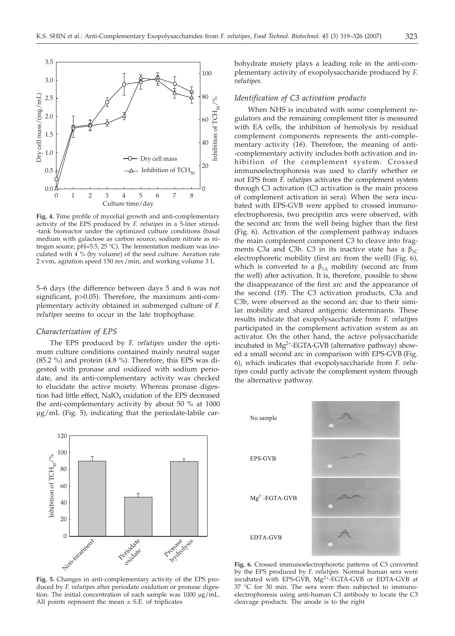

**Fig. 4.** Time profile of mycelial growth and anti-complementary activity of the EPS produced by *F. velutipes* in a 5-liter stirred- -tank bioreactor under the optimized culture conditions (basal medium with galactose as carbon source, sodium nitrate as nitrogen source, pH=5.5, 25 °C). The fermentation medium was inoculated with 4 % (by volume) of the seed culture. Aeration rate 2 vvm, agitation speed 150 rev/min, and working volume 3 L

5–6 days (the difference between days 5 and 6 was not significant, p>0.05). Therefore, the maximum anti-complementary activity obtained in submerged culture of *F*. *velutipes* seems to occur in the late trophophase.

#### *Characterization of EPS*

The EPS produced by *F*. *velutipes* under the optimum culture conditions contained mainly neutral sugar (85.2 %) and protein (4.8 %). Therefore, this EPS was digested with pronase and oxidized with sodium periodate, and its anti-complementary activity was checked to elucidate the active moiety. Whereas pronase digestion had little effect, NaIO<sub>4</sub> oxidation of the EPS decreased the anti-complementary activity by about 50 % at 1000 µg/mL (Fig. 5), indicating that the periodate-labile carbohydrate moiety plays a leading role in the anti-complementary activity of exopolysaccharide produced by *F*. *velutipes*.

#### *Identification of C3 activation products*

When NHS is incubated with some complement regulators and the remaining complement titer is measured with EA cells, the inhibition of hemolysis by residual complement components represents the anti-complementary activity (*16*). Therefore, the meaning of anti- -complementary activity includes both activation and inhibition of the complement system. Crossed immunoelectrophoresis was used to clarify whether or not EPS from *F*. *velutipes* activates the complement system through C3 activation (C3 activation is the main process of complement activation in sera). When the sera incubated with EPS-GVB were applied to crossed immunoelectrophoresis, two precipitin arcs were observed, with the second arc from the well being higher than the first (Fig. 6). Activation of the complement pathway induces the main complement component C3 to cleave into fragments C3a and C3b. C3 in its inactive state has a  $\beta_{1C}$ electrophoretic mobility (first arc from the well) (Fig. 6), which is converted to a  $\beta_{1A}$  mobility (second arc from the well) after activation. It is, therefore, possible to show the disappearance of the first arc and the appearance of the second (*19*). The C3 activation products, C3a and C3b, were observed as the second arc due to their similar mobility and shared antigenic determinants. These results indicate that exopolysaccharide from *F*. *velutipes* participated in the complement activation system as an activator. On the other hand, the active polysaccharide incubated in  $Mg^{2+}$ -EGTA-GVB (alternative pathway) showed a small second arc in comparison with EPS-GVB (Fig. 6), which indicates that exopolysaccharide from *F*. *velutipes* could partly activate the complement system through the alternative pathway.



**Fig. 5.** Changes in anti-complementary activity of the EPS produced by *F*. *velutipes* after periodate oxidation or pronase digestion. The initial concentration of each sample was  $1000 \mu g/mL$ . All points represent the mean  $\pm$  S.E. of triplicates



**Fig. 6.** Crossed immunoelectrophoretic patterns of C3 converted by the EPS produced by *F*. *velutipes.* Normal human sera were incubated with EPS-GVB, Mg2+-EGTA-GVB or EDTA-GVB at 37 °C for 30 min. The sera were then subjected to immunoelectrophoresis using anti-human C3 antibody to locate the C3 cleavage products. The anode is to the right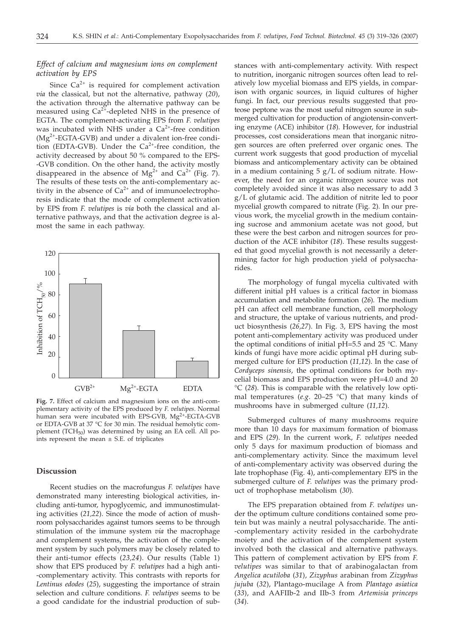# *Effect of calcium and magnesium ions on complement activation by EPS*

Since  $Ca^{2+}$  is required for complement activation *via* the classical, but not the alternative, pathway (*20*), the activation through the alternative pathway can be measured using  $Ca^{2+}$ -depleted NHS in the presence of EGTA. The complement-activating EPS from *F*. *velutipes* was incubated with NHS under a  $Ca^{2+}$ -free condition  $(Mg<sup>2+</sup>-EGTA-GVB)$  and under a divalent ion-free condition (EDTA-GVB). Under the  $Ca^{2+}$ -free condition, the activity decreased by about 50 % compared to the EPS- -GVB condition. On the other hand, the activity mostly disappeared in the absence of  $Mg^{2+}$  and  $Ca^{2+}$  (Fig. 7). The results of these tests on the anti-complementary activity in the absence of  $Ca^{2+}$  and of immunoelectrophoresis indicate that the mode of complement activation by EPS from *F*. *velutipes* is *via* both the classical and alternative pathways, and that the activation degree is almost the same in each pathway.



**Fig. 7.** Effect of calcium and magnesium ions on the anti-complementary activity of the EPS produced by *F*. *velutipes*. Normal human sera were incubated with EPS-GVB, Mg<sup>2+</sup>-EGTA-GVB or EDTA-GVB at 37 °C for 30 min. The residual hemolytic complement (TCH $_{50}$ ) was determined by using an EA cell. All points represent the mean  $\pm$  S.E. of triplicates

#### **Discussion**

Recent studies on the macrofungus *F. velutipes* have demonstrated many interesting biological activities, including anti-tumor, hypoglycemic, and immunostimulating activities (*21,22*). Since the mode of action of mushroom polysaccharides against tumors seems to be through stimulation of the immune system *via* the macrophage and complement systems, the activation of the complement system by such polymers may be closely related to their anti-tumor effects (*23,24*). Our results (Table 1) show that EPS produced by *F. velutipes* had a high anti- -complementary activity. This contrasts with reports for *Lentinus edodes* (*25*), suggesting the importance of strain selection and culture conditions. *F. velutipes* seems to be a good candidate for the industrial production of substances with anti-complementary activity. With respect to nutrition, inorganic nitrogen sources often lead to relatively low mycelial biomass and EPS yields, in comparison with organic sources, in liquid cultures of higher fungi. In fact, our previous results suggested that proteose peptone was the most useful nitrogen source in submerged cultivation for production of angiotensin-converting enzyme (ACE) inhibitor (*18*). However, for industrial processes, cost considerations mean that inorganic nitrogen sources are often preferred over organic ones. The current work suggests that good production of mycelial biomass and anticomplementary activity can be obtained in a medium containing 5 g/L of sodium nitrate. However, the need for an organic nitrogen source was not completely avoided since it was also necessary to add 3 g/L of glutamic acid. The addition of nitrite led to poor mycelial growth compared to nitrate (Fig. 2). In our previous work, the mycelial growth in the medium containing sucrose and ammonium acetate was not good, but these were the best carbon and nitrogen sources for production of the ACE inhibitor (*18*). These results suggested that good mycelial growth is not necessarily a determining factor for high production yield of polysaccharides.

The morphology of fungal mycelia cultivated with different initial pH values is a critical factor in biomass accumulation and metabolite formation (*26*). The medium pH can affect cell membrane function, cell morphology and structure, the uptake of various nutrients, and product biosynthesis (*26,27*). In Fig. 3, EPS having the most potent anti-complementary activity was produced under the optimal conditions of initial  $pH=5.5$  and 25 °C. Many kinds of fungi have more acidic optimal pH during submerged culture for EPS production (*11,12*). In the case of *Cordyceps sinensis*, the optimal conditions for both mycelial biomass and EPS production were pH=4.0 and 20 °C (*28*). This is comparable with the relatively low optimal temperatures (*e.g*. 20–25 °C) that many kinds of mushrooms have in submerged culture (*11,12*).

Submerged cultures of many mushrooms require more than 10 days for maximum formation of biomass and EPS (*29*). In the current work, *F*. *velutipes* needed only 5 days for maximum production of biomass and anti-complementary activity. Since the maximum level of anti-complementary activity was observed during the late trophophase (Fig. 4), anti-complementary EPS in the submerged culture of *F. velutipes* was the primary product of trophophase metabolism (*30*).

The EPS preparation obtained from *F*. *velutipes* under the optimum culture conditions contained some protein but was mainly a neutral polysaccharide. The anti- -complementary activity resided in the carbohydrate moiety and the activation of the complement system involved both the classical and alternative pathways. This pattern of complement activation by EPS from *F*. *velutipes* was similar to that of arabinogalactan from *Angelica acutiloba* (*31*), *Zizyphus* arabinan from *Zizyphus jujuba* (*32*), Plantago-mucilage A from *Plantago asiatica* (*33*), and AAFIIb-2 and IIb-3 from *Artemisia princeps* (*34*).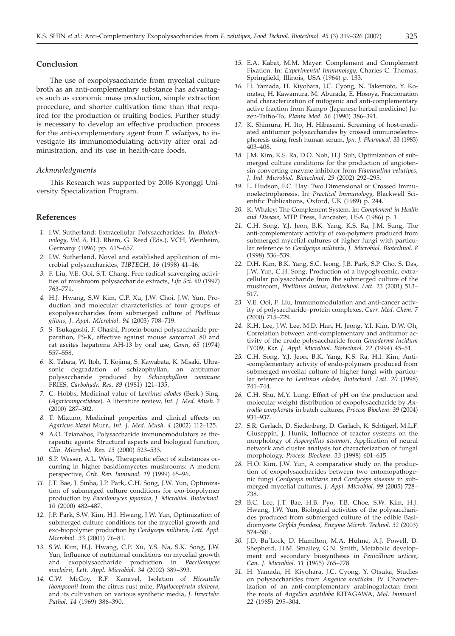### **Conclusion**

The use of exopolysaccharide from mycelial culture broth as an anti-complementary substance has advantages such as economic mass production, simple extraction procedure, and shorter cultivation time than that required for the production of fruiting bodies. Further study is necessary to develop an effective production process for the anti-complementary agent from *F. velutipes*, to investigate its immunomodulating activity after oral administration, and its use in health-care foods.

#### *Acknowledgments*

This Research was supported by 2006 Kyonggi University Specialization Program.

## **References**

- *1.* I.W. Sutherland: Extracellular Polysaccharides. In: *Biotechnology*, *Vol. 6*, H.J. Rhem, G. Reed (Eds.), VCH, Weinheim, Germany (1996) pp. 615–657.
- *2.* I.W. Sutherland, Novel and established application of microbial polysaccharides, *TIBTECH, 16* (1998) 41–46.
- *3.* F. Liu, V.E. Ooi, S.T. Chang, Free radical scavenging activities of mushroom polysaccharide extracts, *Life Sci. 60* (1997) 763–771.
- *4.* H.J. Hwang, S.W Kim, C.P. Xu, J.W. Choi, J.W. Yun, Production and molecular characteristics of four groups of exopolysaccharides from submerged culture of *Phellinus gilvus*, *J. Appl. Microbiol*. *94* (2003) 708–719.
- *5.* S. Tsukagoshi, F. Ohashi, Protein-bound polysaccharide preparation, PS-K, effective against mouse sarcoma1 80 and rat ascites hepatoma AH-13 by oral use, *Gann, 65* (1974) 557–558.
- *6.* K. Tabata, W. Itoh, T. Kojima, S. Kawabata, K. Misaki, Ultrasonic degradation of schizophyllan, an antitumor polysaccharide produced by *Schizophyllum commune* FRIES, *Carbohydr. Res*. *89* (1981) 121–135.
- *7.* C. Hobbs, Medicinal value of *Lentinus edodes* (Berk.) Sing. (*Agaricomycetideae*). A literature review, *Int. J. Med. Mush. 2* (2000) 287–302.
- *8.* T. Mizuno, Medicinal properties and clinical effects on *Agaricus blazei* Murr., *Int. J. Med. Mush. 4* (2002) 112–125.
- *9.* A.O. Tzianabos, Polysaccharide immunomodulators as therapeutic agents: Structural aspects and biological function, *Clin. Microbiol. Rev*. *13* (2000) 523–533.
- *10.* S.P. Wasser, A.L. Weis, Therapeutic effect of substances occurring in higher basidiomycetes mushrooms: A modern perspective, *Crit. Rev. Immunol*. *19* (1999) 65–96.
- *11.* J.T. Bae, J. Sinha, J.P. Park, C.H. Song, J.W. Yun, Optimization of submerged culture conditions for exo-biopolymer production by *Paecilomyces japonica*, *J. Microbiol. Biotechnol*. *10* (2000) 482–487.
- *12.* J.P. Park, S.W. Kim, H.J. Hwang, J.W. Yun, Optimization of submerged culture conditions for the mycelial growth and exo-biopolymer production by *Cordyceps militaris, Lett. Appl. Microbiol*. *33* (2001) 76–81.
- *13.* S.W. Kim, H.J. Hwang, C.P. Xu, Y.S. Na, S.K. Song, J.W. Yun, Influence of nutritional conditions on mycelial growth and exopolysaccharide production in *Paecilomyces sinclairii*, *Lett. Appl. Microbiol*. *34* (2002) 389–393.
- *14.* C.W. McCoy, R.F. Kanavel, Isolation of *Hirsutella thompsonii* from the citrus rust mite, *Phyllocoptruta oleivora*, and its cultivation on various synthetic media, *J*. *Invertebr*. *Pathol*. *14* (1969) 386–390.
- *15.* E.A. Kabat, M.M. Mayer: Complement and Complement Fixation. In: *Experimental Immunology,* Charles C. Thomas, Springfield, Illinois, USA (1964) p. 133.
- *16.* H. Yamada, H. Kiyohara, J.C. Cyong, N. Takemoto, Y. Komatsu, H. Kawamura, M. Aburada, E. Hosoya, Fractionation and characterization of mitogenic and anti-complementary active fraction from Kampo (Japanese herbal medicine) Juzen-Taiho-To, *Planta Med*. *56* (1990) 386–391.
- *17.* K. Shimura, H. Ito, H. Hibasami, Screening of host-mediated antitumor polysaccharides by crossed immunoelectrophoresis using fresh human serum, *Jpn. J. Pharmacol. 33* (1983)  $403 - 408$
- *18.* J.M. Kim, K.S. Ra, D.O. Noh, H.J. Suh, Optimization of submerged culture conditions for the production of angiotensin converting enzyme inhibitor from *Flammulina velutipes, J. Ind. Microbiol. Biotechnol*. *29* (2002) 292–295.
- *19.* L. Hudson, F.C. Hay: Two Dimensional or Crossed Immunoelectrophoresis. In: *Practical Immunology*, Blackwell Scientific Publications, Oxford, UK (1989) p. 244.
- *20.* K. Whaley: The Complement System. In: *Complement in Health and Disease*, MTP Press, Lancaster, USA (1986) p. 1.
- *21.* C.H. Song, Y.J. Jeon, B.K. Yang, K.S. Ra, J.M. Sung, The anti-complementary activity of exo-polymers produced from submerged mycelial cultures of higher fungi with particular reference to *Cordyceps militaris*, *J. Microbiol. Biotechnol*. *8* (1998) 536–539.
- *22.* D.H. Kim, B.K. Yang, S.C. Jeong, J.B. Park, S.P. Cho, S. Das, J.W. Yun, C.H. Song, Production of a hypoglycemic, extracellular polysaccharide from the submerged culture of the mushroom, *Phellinus linteus, Biotechnol. Lett*. *23* (2001) 513– 517.
- *23.* V.E. Ooi, F. Liu, Immunomodulation and anti-cancer activity of polysaccharide–protein complexes, *Curr. Med. Chem. 7* (2000) 715–729.
- *24.* K.H. Lee, J.W. Lee, M.D. Han, H. Jeong, Y.I. Kim, D.W. Oh, Correlation between anti-complementary and antitumor activity of the crude polysaccharide from *Ganoderma lucidum* IY009, *Kor. J. Appl. Microbiol. Biotechnol*. *22* (1994) 45–51.
- *25.* C.H. Song, Y.J. Jeon, B.K. Yang, K.S. Ra, H.I. Kim, Anti- -complementary activity of endo-polymers produced from submerged mycelial culture of higher fungi with particular reference to *Lentinus edodes, Biotechnol. Lett. 20* (1998) 741–744.
- *26.* C.H. Shu, M.Y. Lung, Effect of pH on the production and molecular weight distribution of exopolysaccharide by *Antrodia camphorata* in batch cultures, *Process Biochem*. *39* (2004) 931–937.
- *27.* S.R. Gerlach, D. Siedenberg, D. Gerlach, K. Schtigerl, M.L.F. Giuseppin, J. Hunik, Influence of reactor systems on the morphology of *Aspergillus awamori*. Application of neural network and cluster analysis for characterization of fungal morphology, *Process Biochem*. *33* (1998) 601–615.
- *28.* H.O. Kim, J.W. Yun, A comparative study on the production of exopolysaccharides between two entomopathogenic fungi *Cordyceps militaris* and *Cordyceps sinensis* in submerged mycelial cultures, *J. Appl. Microbiol. 99* (2005) 728– 738.
- *29.* B.C. Lee, J.T. Bae, H.B. Pyo, T.B. Choe, S.W. Kim, H.J. Hwang, J.W. Yun, Biological activities of the polysaccharides produced from submerged culture of the edible Basidiomycete *Grifola frondosa, Enzyme Microb. Technol. 32* (2003) 574–581.
- *30.* J.D. Bu'Lock, D. Hamilton, M.A. Hulme, A.J. Powell, D. Shepherd, H.M. Smalley, G.N. Smith, Metabolic development and secondary biosynthesis in *Penicillium urticae, Can. J. Microbiol*. *11* (1965) 765–778.
- *31.* H. Yamada, H. Kiyohara, J.C. Cyong, Y. Otsuka, Studies on polysaccharides from *Angelica acutiloba.* IV. Characterization of an anti-complementary arabinogalactan from the roots of *Angelica acutiloba* KITAGAWA, *Mol. Immunol*. *22* (1985) 295–304.